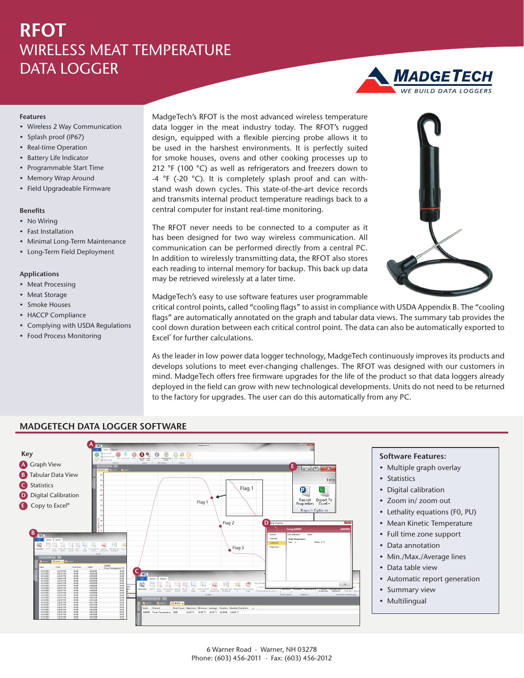# **RFOT** WIRELESS MEAT TEMPERATURE DATA LOGGER

### **Features**

- Wireless 2 Way Communication
- Splash proof (IP67)
- Real-time Operation
- Battery Life Indicator
- Programmable Start Time
- Memory Wrap Around
- Field Upgradeable Firmware

## **Benefits**

- No Wiring
- Fast Installation
- Minimal Long-Term Maintenance
- Long-Term Field Deployment

#### **Applications**

- Meat Processing
- Meat Storage
- Smoke Houses
- HACCP Compliance
- Complying with USDA Regulations
- Food Process Monitoring

MadgeTech's RFOT is the most advanced wireless temperature data logger in the meat industry today. The RFOT's rugged design, equipped with a flexible piercing probe allows it to be used in the harshest environments. It is perfectly suited for smoke houses, ovens and other cooking processes up to 212 °F (100 °C) as well as refrigerators and freezers down to -4 °F (-20 °C). It is completely splash proof and can withstand wash down cycles. This state-of-the-art device records and transmits internal product temperature readings back to a central computer for instant real-time monitoring.

The RFOT never needs to be connected to a computer as it has been designed for two way wireless communication. All communication can be performed directly from a central PC. In addition to wirelessly transmitting data, the RFOT also stores each reading to internal memory for backup. This back up data may be retrieved wirelessly at a later time.



**MADGETECH** 

MadgeTech's easy to use software features user programmable

critical control points, called "cooling flags" to assist in compliance with USDA Appendix B. The "cooling flags" are automatically annotated on the graph and tabular data views. The summary tab provides the cool down duration between each critical control point. The data can also be automatically exported to Excel® for further calculations.

As the leader in low power data logger technology, MadgeTech continuously improves its products and develops solutions to meet ever-changing challenges. The RFOT was designed with our customers in mind. MadgeTech offers free firmware upgrades for the life of the product so that data loggers already deployed in the field can grow with new technological developments. Units do not need to be returned to the factory for upgrades. The user can do this automatically from any PC.



#### **Software Features:**

- Multiple graph overlay
- Statistics
- Digital calibration
- Zoom in/ zoom out
- Lethality equations (F0, PU)
- Mean Kinetic Temperature
- Full time zone support
- Data annotation
- Min./Max./Average lines
- Data table view
- Automatic report generation
- Summary view
- Multilingual

### 6 Warner Road · Warner, NH 03278 Phone: (603) 456-2011 · Fax: (603) 456-2012